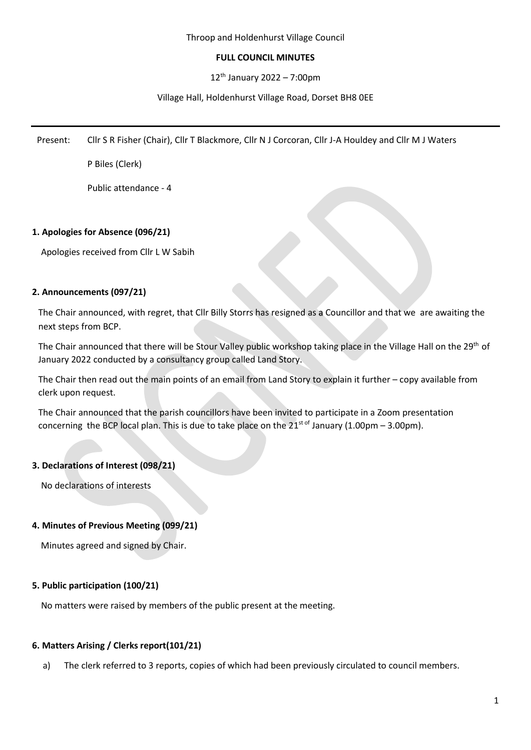## Throop and Holdenhurst Village Council

## **FULL COUNCIL MINUTES**

 $12^{th}$  January 2022 – 7:00pm

## Village Hall, Holdenhurst Village Road, Dorset BH8 0EE

Present: Cllr S R Fisher (Chair), Cllr T Blackmore, Cllr N J Corcoran, Cllr J-A Houldey and Cllr M J Waters

P Biles (Clerk)

Public attendance - 4

## **1. Apologies for Absence (096/21)**

Apologies received from Cllr L W Sabih

## **2. Announcements (097/21)**

The Chair announced, with regret, that Cllr Billy Storrs has resigned as a Councillor and that we are awaiting the next steps from BCP.

The Chair announced that there will be Stour Valley public workshop taking place in the Village Hall on the 29<sup>th</sup> of January 2022 conducted by a consultancy group called Land Story.

The Chair then read out the main points of an email from Land Story to explain it further – copy available from clerk upon request.

The Chair announced that the parish councillors have been invited to participate in a Zoom presentation concerning the BCP local plan. This is due to take place on the  $21^{st \text{ of}}$  January (1.00pm – 3.00pm).

# **3. Declarations of Interest (098/21)**

No declarations of interests

## **4. Minutes of Previous Meeting (099/21)**

Minutes agreed and signed by Chair.

## **5. Public participation (100/21)**

No matters were raised by members of the public present at the meeting.

# **6. Matters Arising / Clerks report(101/21)**

a) The clerk referred to 3 reports, copies of which had been previously circulated to council members.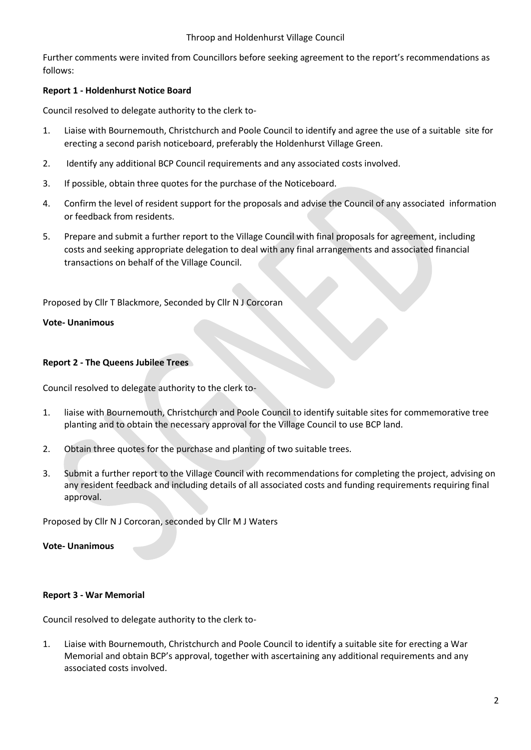## Throop and Holdenhurst Village Council

Further comments were invited from Councillors before seeking agreement to the report's recommendations as follows:

# **Report 1 - Holdenhurst Notice Board**

Council resolved to delegate authority to the clerk to-

- 1. Liaise with Bournemouth, Christchurch and Poole Council to identify and agree the use of a suitable site for erecting a second parish noticeboard, preferably the Holdenhurst Village Green.
- 2. Identify any additional BCP Council requirements and any associated costs involved.
- 3. If possible, obtain three quotes for the purchase of the Noticeboard.
- 4. Confirm the level of resident support for the proposals and advise the Council of any associated information or feedback from residents.
- 5. Prepare and submit a further report to the Village Council with final proposals for agreement, including costs and seeking appropriate delegation to deal with any final arrangements and associated financial transactions on behalf of the Village Council.

Proposed by Cllr T Blackmore, Seconded by Cllr N J Corcoran

## **Vote- Unanimous**

## **Report 2 - The Queens Jubilee Trees**

Council resolved to delegate authority to the clerk to-

- 1. liaise with Bournemouth, Christchurch and Poole Council to identify suitable sites for commemorative tree planting and to obtain the necessary approval for the Village Council to use BCP land.
- 2. Obtain three quotes for the purchase and planting of two suitable trees.
- 3. Submit a further report to the Village Council with recommendations for completing the project, advising on any resident feedback and including details of all associated costs and funding requirements requiring final approval.

Proposed by Cllr N J Corcoran, seconded by Cllr M J Waters

## **Vote- Unanimous**

## **Report 3 - War Memorial**

Council resolved to delegate authority to the clerk to-

1. Liaise with Bournemouth, Christchurch and Poole Council to identify a suitable site for erecting a War Memorial and obtain BCP's approval, together with ascertaining any additional requirements and any associated costs involved.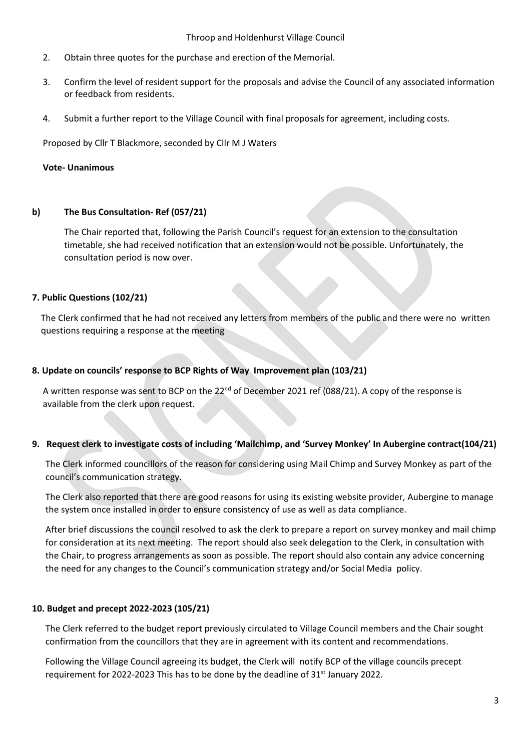#### Throop and Holdenhurst Village Council

- 2. Obtain three quotes for the purchase and erection of the Memorial.
- 3. Confirm the level of resident support for the proposals and advise the Council of any associated information or feedback from residents.
- 4. Submit a further report to the Village Council with final proposals for agreement, including costs*.*

Proposed by Cllr T Blackmore, seconded by Cllr M J Waters

#### **Vote- Unanimous**

#### **b) The Bus Consultation- Ref (057/21)**

The Chair reported that, following the Parish Council's request for an extension to the consultation timetable, she had received notification that an extension would not be possible. Unfortunately, the consultation period is now over.

## **7. Public Questions (102/21)**

The Clerk confirmed that he had not received any letters from members of the public and there were no written questions requiring a response at the meeting

#### **8. Update on councils' response to BCP Rights of Way Improvement plan (103/21)**

A written response was sent to BCP on the 22<sup>nd</sup> of December 2021 ref (088/21). A copy of the response is available from the clerk upon request.

## **9. Request clerk to investigate costs of including 'Mailchimp, and 'Survey Monkey' In Aubergine contract(104/21)**

The Clerk informed councillors of the reason for considering using Mail Chimp and Survey Monkey as part of the council's communication strategy.

The Clerk also reported that there are good reasons for using its existing website provider, Aubergine to manage the system once installed in order to ensure consistency of use as well as data compliance.

After brief discussions the council resolved to ask the clerk to prepare a report on survey monkey and mail chimp for consideration at its next meeting. The report should also seek delegation to the Clerk, in consultation with the Chair, to progress arrangements as soon as possible. The report should also contain any advice concerning the need for any changes to the Council's communication strategy and/or Social Media policy.

## **10. Budget and precept 2022-2023 (105/21)**

The Clerk referred to the budget report previously circulated to Village Council members and the Chair sought confirmation from the councillors that they are in agreement with its content and recommendations.

Following the Village Council agreeing its budget, the Clerk will notify BCP of the village councils precept requirement for 2022-2023 This has to be done by the deadline of 31<sup>st</sup> January 2022.